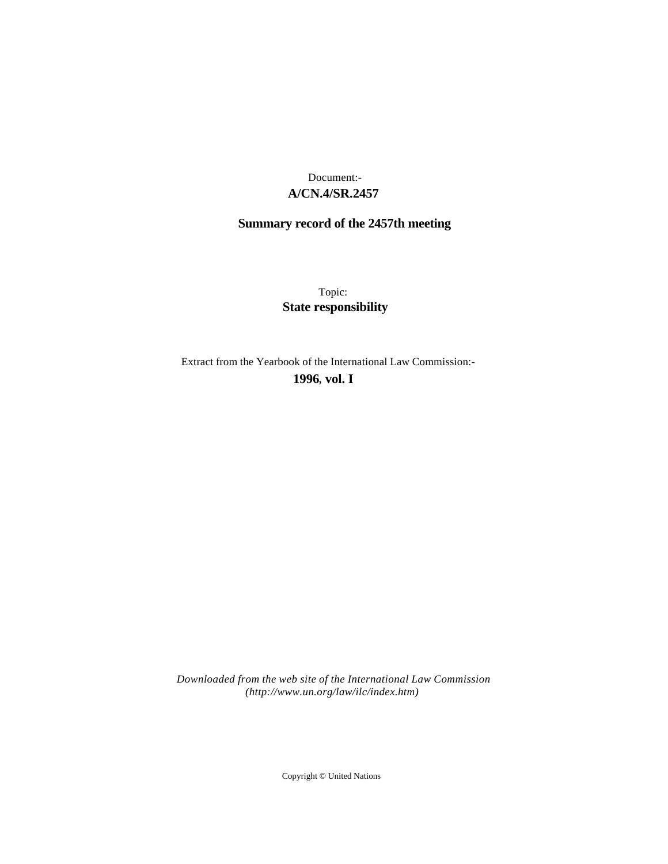## **A/CN.4/SR.2457** Document:-

# **Summary record of the 2457th meeting**

Topic: **State responsibility**

Extract from the Yearbook of the International Law Commission:-

**1996** , **vol. I**

*Downloaded from the web site of the International Law Commission (http://www.un.org/law/ilc/index.htm)*

Copyright © United Nations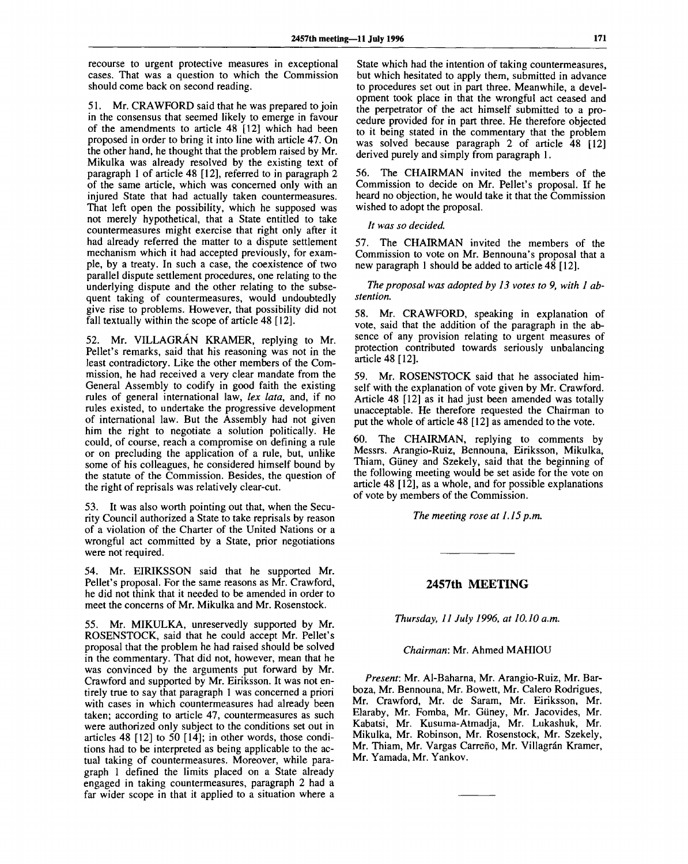recourse to urgent protective measures in exceptional cases. That was a question to which the Commission should come back on second reading.

51. Mr. CRAWFORD said that he was prepared to join in the consensus that seemed likely to emerge in favour of the amendments to article 48 [12] which had been proposed in order to bring it into line with article 47. On the other hand, he thought that the problem raised by Mr. Mikulka was already resolved by the existing text of paragraph 1 of article 48 [12], referred to in paragraph 2 of the same article, which was concerned only with an injured State that had actually taken countermeasures. That left open the possibility, which he supposed was not merely hypothetical, that a State entitled to take countermeasures might exercise that right only after it had already referred the matter to a dispute settlement mechanism which it had accepted previously, for example, by a treaty. In such a case, the coexistence of two parallel dispute settlement procedures, one relating to the underlying dispute and the other relating to the subsequent taking of countermeasures, would undoubtedly give rise to problems. However, that possibility did not fall textually within the scope of article 48 [12].

52. Mr. VILLAGRAN KRAMER, replying to Mr. Pellet's remarks, said that his reasoning was not in the least contradictory. Like the other members of the Commission, he had received a very clear mandate from the General Assembly to codify in good faith the existing rules of general international law, *lex lata,* and, if no rules existed, to undertake the progressive development of international law. But the Assembly had not given him the right to negotiate a solution politically. He could, of course, reach a compromise on defining a rule or on precluding the application of a rule, but, unlike some of his colleagues, he considered himself bound by the statute of the Commission. Besides, the question of the right of reprisals was relatively clear-cut.

53. It was also worth pointing out that, when the Security Council authorized a State to take reprisals by reason of a violation of the Charter of the United Nations or a wrongful act committed by a State, prior negotiations were not required.

54. Mr. EIRIKSSON said that he supported Mr. Pellet's proposal. For the same reasons as Mr. Crawford, he did not think that it needed to be amended in order to meet the concerns of Mr. Mikulka and Mr. Rosenstock.

55. Mr. MIKULKA, unreservedly supported by Mr. ROSENSTOCK, said that he could accept Mr. Pellet's proposal that the problem he had raised should be solved in the commentary. That did not, however, mean that he was convinced by the arguments put forward by Mr. Crawford and supported by Mr. Eiriksson. It was not entirely true to say that paragraph 1 was concerned a priori with cases in which countermeasures had already been taken; according to article 47, countermeasures as such were authorized only subject to the conditions set out in articles 48 [12] to 50 [14]; in other words, those conditions had to be interpreted as being applicable to the actual taking of countermeasures. Moreover, while paragraph 1 defined the limits placed on a State already engaged in taking countermeasures, paragraph 2 had a far wider scope in that it applied to a situation where a

State which had the intention of taking countermeasures, but which hesitated to apply them, submitted in advance to procedures set out in part three. Meanwhile, a development took place in that the wrongful act ceased and the perpetrator of the act himself submitted to a procedure provided for in part three. He therefore objected to it being stated in the commentary that the problem was solved because paragraph 2 of article 48 [12] derived purely and simply from paragraph 1.

56. The CHAIRMAN invited the members of the Commission to decide on Mr. Pellet's proposal. If he heard no objection, he would take it that the Commission wished to adopt the proposal.

*It was so decided.*

57. The CHAIRMAN invited the members of the Commission to vote on Mr. Bennouna's proposal that a new paragraph 1 should be added to article 48 [12].

*The proposal was adopted by 13 votes to 9, with 1 abstention.*

58. Mr. CRAWFORD, speaking in explanation of vote, said that the addition of the paragraph in the absence of any provision relating to urgent measures of protection contributed towards seriously unbalancing article 48 [12].

59. Mr. ROSENSTOCK said that he associated himself with the explanation of vote given by Mr. Crawford. Article 48 [12] as it had just been amended was totally unacceptable. He therefore requested the Chairman to put the whole of article 48 [12] as amended to the vote.

60. The CHAIRMAN, replying to comments by Messrs. Arangio-Ruiz, Bennouna, Eiriksson, Mikulka, Thiam, Güney and Szekely, said that the beginning of the following meeting would be set aside for the vote on article 48 [12], as a whole, and for possible explanations of vote by members of the Commission.

*The meeting rose at 1.15 p.m.*

**2457th MEETING**

*Thursday, 11 July 1996, at 10.10 a.m.*

#### *Chairman:* Mr. Ahmed MAHIOU

*Present:* Mr. Al-Baharna, Mr. Arangio-Ruiz, Mr. Barboza, Mr. Bennouna, Mr. Bowett, Mr. Calero Rodrigues, Mr. Crawford, Mr. de Saram, Mr. Eiriksson, Mr. Elaraby, Mr. Fomba, Mr. Giiney, Mr. Jacovides, Mr. Kabatsi, Mr. Kusuma-Atmadja, Mr. Lukashuk, Mr. Mikulka, Mr. Robinson, Mr. Rosenstock, Mr. Szekely, Mr. Thiam, Mr. Vargas Carreño, Mr. Villagrán Kramer, Mr. Yamada, Mr. Yankov.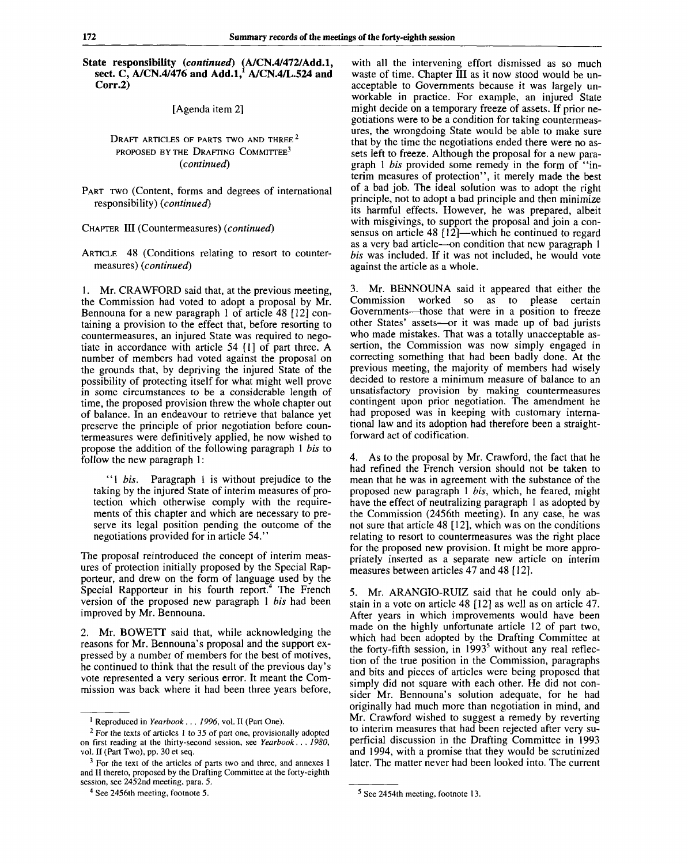**State responsibility** *(continued)* **(A/CN.4/472/Add.l, sect. C, A/CN.4/476 and Add.l/ A/CN.4/L.524 and Corr.2)**

[Agenda item 2]

#### Draft articles of parts two and three  $^{\rm 2}$ PROPOSED BY THE DRAFTING COMMITTEE<sup>3</sup> *(continued)*

PART TWO (Content, forms and degrees of international responsibility) *(continued)*

CHAPTER III (Countermeasures) *(continued)*

ARTICLE 48 (Conditions relating to resort to countermeasures) *(continued)*

1. Mr. CRAWFORD said that, at the previous meeting, the Commission had voted to adopt a proposal by Mr. Bennouna for a new paragraph 1 of article 48 [12] containing a provision to the effect that, before resorting to countermeasures, an injured State was required to negotiate in accordance with article 54 [1] of part three. A number of members had voted against the proposal on the grounds that, by depriving the injured State of the possibility of protecting itself for what might well prove in some circumstances to be a considerable length of time, the proposed provision threw the whole chapter out of balance. In an endeavour to retrieve that balance yet preserve the principle of prior negotiation before countermeasures were definitively applied, he now wished to propose the addition of the following paragraph 1 *bis* to follow the new paragraph 1:

"1 *bis.* Paragraph 1 is without prejudice to the taking by the injured State of interim measures of protection which otherwise comply with the requirements of this chapter and which are necessary to preserve its legal position pending the outcome of the negotiations provided for in article 54."

The proposal reintroduced the concept of interim measures of protection initially proposed by the Special Rapporteur, and drew on the form of language used by the Special Rapporteur in his fourth report.<sup>4</sup> The French version of the proposed new paragraph 1 *bis* had been improved by Mr. Bennouna.

2. Mr. BOWETT said that, while acknowledging the reasons for Mr. Bennouna's proposal and the support expressed by a number of members for the best of motives, he continued to think that the result of the previous day's vote represented a very serious error. It meant the Commission was back where it had been three years before, with all the intervening effort dismissed as so much waste of time. Chapter III as it now stood would be unacceptable to Governments because it was largely unworkable in practice. For example, an injured State might decide on a temporary freeze of assets. If prior negotiations were to be a condition for taking countermeasures, the wrongdoing State would be able to make sure that by the time the negotiations ended there were no assets left to freeze. Although the proposal for a new paragraph 1 *bis* provided some remedy in the form of "interim measures of protection", it merely made the best of a bad job. The ideal solution was to adopt the right principle, not to adopt a bad principle and then minimize its harmful effects. However, he was prepared, albeit with misgivings, to support the proposal and join a consensus on article 48 [12]—which he continued to regard as a very bad article—on condition that new paragraph 1 *bis* was included. If it was not included, he would vote against the article as a whole.

3. Mr. BENNOUNA said it appeared that either the Commission worked so as to please certain Governments—those that were in a position to freeze other States' assets—or it was made up of bad jurists who made mistakes. That was a totally unacceptable assertion, the Commission was now simply engaged in correcting something that had been badly done. At the previous meeting, the majority of members had wisely decided to restore a minimum measure of balance to an unsatisfactory provision by making countermeasures contingent upon prior negotiation. The amendment he had proposed was in keeping with customary international law and its adoption had therefore been a straightforward act of codification.

4. As to the proposal by Mr. Crawford, the fact that he had refined the French version should not be taken to mean that he was in agreement with the substance of the proposed new paragraph 1 *bis,* which, he feared, might have the effect of neutralizing paragraph 1 as adopted by the Commission (2456th meeting). In any case, he was not sure that article 48 [12], which was on the conditions relating to resort to countermeasures was the right place for the proposed new provision. It might be more appropriately inserted as a separate new article on interim measures between articles 47 and 48 [12].

5. Mr. ARANGIO-RUIZ said that he could only abstain in a vote on article 48 [12] as well as on article 47. After years in which improvements would have been made on the highly unfortunate article 12 of part two, which had been adopted by the Drafting Committee at the forty-fifth session, in  $1993<sup>5</sup>$  without any real reflection of the true position in the Commission, paragraphs and bits and pieces of articles were being proposed that simply did not square with each other. He did not consider Mr. Bennouna's solution adequate, for he had originally had much more than negotiation in mind, and Mr. Crawford wished to suggest a remedy by reverting to interim measures that had been rejected after very superficial discussion in the Drafting Committee in 1993 and 1994, with a promise that they would be scrutinized later. The matter never had been looked into. The current

<sup>&</sup>lt;sup>1</sup> Reproduced in Yearbook . . . 1996, vol. II (Part One).

 $2$  For the texts of articles 1 to 35 of part one, provisionally adopted on first reading at the thirty-second session, see *Yearbook. .* . *1980,* vol. II (Part Two), pp. 30 et seq.

<sup>&</sup>lt;sup>3</sup> For the text of the articles of parts two and three, and annexes I and II thereto, proposed by the Drafting Committee at the forty-eighth session, see 2452nd meeting, para. 5.

<sup>&</sup>lt;sup>4</sup> See 2456th meeting, footnote 5.

<sup>&</sup>lt;sup>5</sup> See 2454th meeting, footnote 13.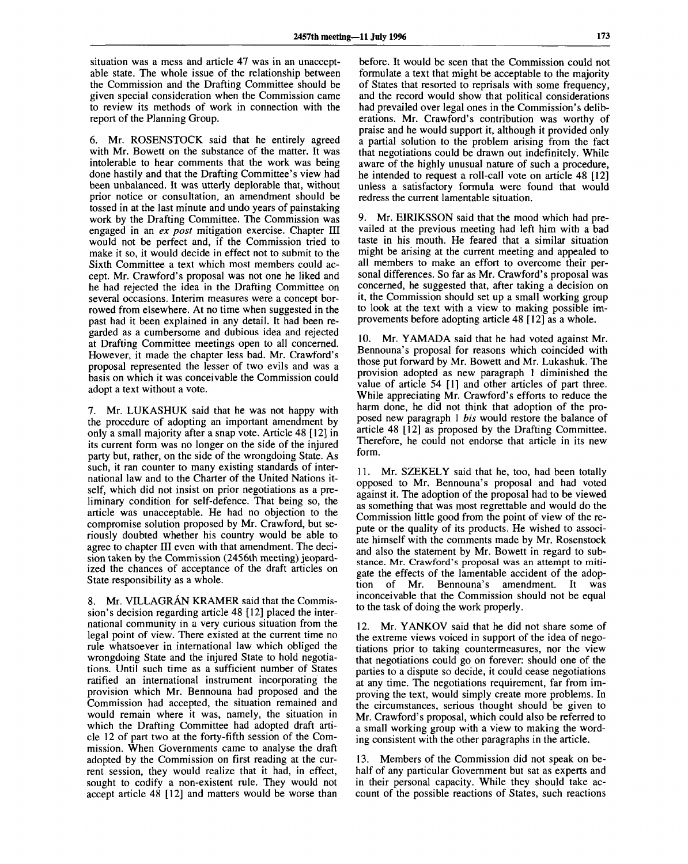situation was a mess and article 47 was in an unacceptable state. The whole issue of the relationship between the Commission and the Drafting Committee should be given special consideration when the Commission came to review its methods of work in connection with the report of the Planning Group.

6. Mr. ROSENSTOCK said that he entirely agreed with Mr. Bowett on the substance of the matter. It was intolerable to hear comments that the work was being done hastily and that the Drafting Committee's view had been unbalanced. It was utterly deplorable that, without prior notice or consultation, an amendment should be tossed in at the last minute and undo years of painstaking work by the Drafting Committee. The Commission was engaged in an *ex post* mitigation exercise. Chapter III would not be perfect and, if the Commission tried to make it so, it would decide in effect not to submit to the Sixth Committee a text which most members could accept. Mr. Crawford's proposal was not one he liked and he had rejected the idea in the Drafting Committee on several occasions. Interim measures were a concept borrowed from elsewhere. At no time when suggested in the past had it been explained in any detail. It had been regarded as a cumbersome and dubious idea and rejected at Drafting Committee meetings open to all concerned. However, it made the chapter less bad. Mr. Crawford's proposal represented the lesser of two evils and was a basis on which it was conceivable the Commission could adopt a text without a vote.

7. Mr. LUKASHUK said that he was not happy with the procedure of adopting an important amendment by only a small majority after a snap vote. Article 48 [12] in its current form was no longer on the side of the injured party but, rather, on the side of the wrongdoing State. As such, it ran counter to many existing standards of international law and to the Charter of the United Nations itself, which did not insist on prior negotiations as a preliminary condition for self-defence. That being so, the article was unacceptable. He had no objection to the compromise solution proposed by Mr. Crawford, but seriously doubted whether his country would be able to agree to chapter III even with that amendment. The decision taken by the Commission (2456th meeting) jeopardized the chances of acceptance of the draft articles on State responsibility as a whole.

8. Mr. VILLAGRAN KRAMER said that the Commission's decision regarding article 48 [12] placed the international community in a very curious situation from the legal point of view. There existed at the current time no rule whatsoever in international law which obliged the wrongdoing State and the injured State to hold negotiations. Until such time as a sufficient number of States ratified an international instrument incorporating the provision which Mr. Bennouna had proposed and the Commission had accepted, the situation remained and would remain where it was, namely, the situation in which the Drafting Committee had adopted draft article 12 of part two at the forty-fifth session of the Commission. When Governments came to analyse the draft adopted by the Commission on first reading at the current session, they would realize that it had, in effect, sought to codify a non-existent rule. They would not accept article 48 [12] and matters would be worse than

before. It would be seen that the Commission could not formulate a text that might be acceptable to the majority of States that resorted to reprisals with some frequency, and the record would show that political considerations had prevailed over legal ones in the Commission's deliberations. Mr. Crawford's contribution was worthy of praise and he would support it, although it provided only a partial solution to the problem arising from the fact that negotiations could be drawn out indefinitely. While aware of the highly unusual nature of such a procedure, he intended to request a roll-call vote on article 48 [12] unless a satisfactory formula were found that would redress the current lamentable situation.

9. Mr. EIRIKSSON said that the mood which had prevailed at the previous meeting had left him with a bad taste in his mouth. He feared that a similar situation might be arising at the current meeting and appealed to all members to make an effort to overcome their personal differences. So far as Mr. Crawford's proposal was concerned, he suggested that, after taking a decision on it, the Commission should set up a small working group to look at the text with a view to making possible improvements before adopting article 48 [12] as a whole.

10. Mr. YAMADA said that he had voted against Mr. Bennouna's proposal for reasons which coincided with those put forward by Mr. Bowett and Mr. Lukashuk. The provision adopted as new paragraph 1 diminished the value of article 54 [1] and other articles of part three. While appreciating Mr. Crawford's efforts to reduce the harm done, he did not think that adoption of the proposed new paragraph 1 *bis* would restore the balance of article 48 [12] as proposed by the Drafting Committee. Therefore, he could not endorse that article in its new form.

11. Mr. SZEKELY said that he, too, had been totally opposed to Mr. Bennouna's proposal and had voted against it. The adoption of the proposal had to be viewed as something that was most regrettable and would do the Commission little good from the point of view of the repute or the quality of its products. He wished to associate himself with the comments made by Mr. Rosenstock and also the statement by Mr. Bowett in regard to substance. Mr. Crawford's proposal was an attempt to mitigate the effects of the lamentable accident of the adoption of Mr. Bennouna's amendment. It was inconceivable that the Commission should not be equal to the task of doing the work properly.

12. Mr. YANKOV said that he did not share some of the extreme views voiced in support of the idea of negotiations prior to taking countermeasures, nor the view that negotiations could go on forever: should one of the parties to a dispute so decide, it could cease negotiations at any time. The negotiations requirement, far from improving the text, would simply create more problems. In the circumstances, serious thought should be given to Mr. Crawford's proposal, which could also be referred to a small working group with a view to making the wording consistent with the other paragraphs in the article.

13. Members of the Commission did not speak on behalf of any particular Government but sat as experts and in their personal capacity. While they should take account of the possible reactions of States, such reactions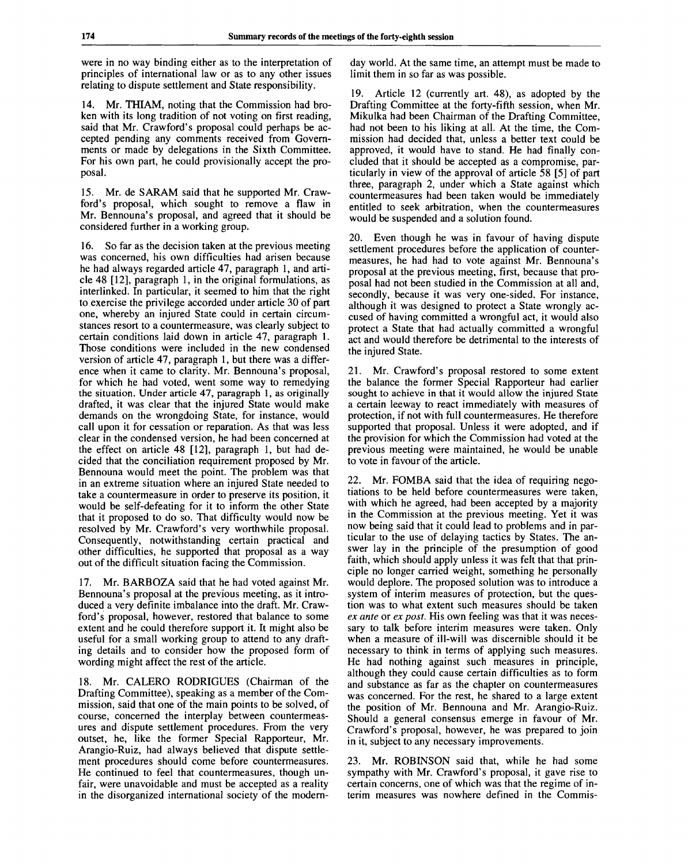were in no way binding either as to the interpretation of principles of international law or as to any other issues relating to dispute settlement and State responsibility.

14. Mr. THIAM, noting that the Commission had broken with its long tradition of not voting on first reading, said that Mr. Crawford's proposal could perhaps be accepted pending any comments received from Governments or made by delegations in the Sixth Committee. For his own part, he could provisionally accept the proposal.

15. Mr. de SARAM said that he supported Mr. Crawford's proposal, which sought to remove a flaw in Mr. Bennouna's proposal, and agreed that it should be considered further in a working group.

16. So far as the decision taken at the previous meeting was concerned, his own difficulties had arisen because he had always regarded article 47, paragraph 1, and article 48 [12], paragraph 1, in the original formulations, as interlinked. In particular, it seemed to him that the right to exercise the privilege accorded under article 30 of part one, whereby an injured State could in certain circumstances resort to a countermeasure, was clearly subject to certain conditions laid down in article 47, paragraph 1. Those conditions were included in the new condensed version of article 47, paragraph 1, but there was a difference when it came to clarity. Mr. Bennouna's proposal, for which he had voted, went some way to remedying the situation. Under article 47, paragraph 1, as originally drafted, it was clear that the injured State would make demands on the wrongdoing State, for instance, would call upon it for cessation or reparation. As that was less clear in the condensed version, he had been concerned at the effect on article 48 [12], paragraph 1, but had decided that the conciliation requirement proposed by Mr. Bennouna would meet the point. The problem was that in an extreme situation where an injured State needed to take a countermeasure in order to preserve its position, it would be self-defeating for it to inform the other State that it proposed to do so. That difficulty would now be resolved by Mr. Crawford's very worthwhile proposal. Consequently, notwithstanding certain practical and other difficulties, he supported that proposal as a way out of the difficult situation facing the Commission.

17. Mr. BARBOZA said that he had voted against Mr. Bennouna's proposal at the previous meeting, as it introduced a very definite imbalance into the draft. Mr. Crawford's proposal, however, restored that balance to some extent and he could therefore support it. It might also be useful for a small working group to attend to any drafting details and to consider how the proposed form of wording might affect the rest of the article.

18. Mr. CALERO RODRIGUES (Chairman of the Drafting Committee), speaking as a member of the Commission, said that one of the main points to be solved, of course, concerned the interplay between countermeasures and dispute settlement procedures. From the very outset, he, like the former Special Rapporteur, Mr. Arangio-Ruiz, had always believed that dispute settlement procedures should come before countermeasures. He continued to feel that countermeasures, though unfair, were unavoidable and must be accepted as a reality in the disorganized international society of the modern-

day world. At the same time, an attempt must be made to limit them in so far as was possible.

19. Article 12 (currently art. 48), as adopted by the Drafting Committee at the forty-fifth session, when Mr. Mikulka had been Chairman of the Drafting Committee, had not been to his liking at all. At the time, the Commission had decided that, unless a better text could be approved, it would have to stand. He had finally concluded that it should be accepted as a compromise, particularly in view of the approval of article 58 [5] of part three, paragraph 2, under which a State against which countermeasures had been taken would be immediately entitled to seek arbitration, when the countermeasures would be suspended and a solution found.

20. Even though he was in favour of having dispute settlement procedures before the application of countermeasures, he had had to vote against Mr. Bennouna's proposal at the previous meeting, first, because that proposal had not been studied in the Commission at all and, secondly, because it was very one-sided. For instance, although it was designed to protect a State wrongly accused of having committed a wrongful act, it would also protect a State that had actually committed a wrongful act and would therefore be detrimental to the interests of the injured State.

21. Mr. Crawford's proposal restored to some extent the balance the former Special Rapporteur had earlier sought to achieve in that it would allow the injured State a certain leeway to react immediately with measures of protection, if not with full countermeasures. He therefore supported that proposal. Unless it were adopted, and if the provision for which the Commission had voted at the previous meeting were maintained, he would be unable to vote in favour of the article.

22. Mr. FOMBA said that the idea of requiring negotiations to be held before countermeasures were taken, with which he agreed, had been accepted by a majority in the Commission at the previous meeting. Yet it was now being said that it could lead to problems and in particular to the use of delaying tactics by States. The answer lay in the principle of the presumption of good faith, which should apply unless it was felt that that principle no longer carried weight, something he personally would deplore. The proposed solution was to introduce a system of interim measures of protection, but the question was to what extent such measures should be taken *ex ante* or *ex post.* His own feeling was that it was necessary to talk before interim measures were taken. Only when a measure of ill-will was discernible should it be necessary to think in terms of applying such measures. He had nothing against such measures in principle, although they could cause certain difficulties as to form and substance as far as the chapter on countermeasures was concerned. For the rest, he shared to a large extent the position of Mr. Bennouna and Mr. Arangio-Ruiz. Should a general consensus emerge in favour of Mr. Crawford's proposal, however, he was prepared to join in it, subject to any necessary improvements.

23. Mr. ROBINSON said that, while he had some sympathy with Mr. Crawford's proposal, it gave rise to certain concerns, one of which was that the regime of interim measures was nowhere defined in the Commis-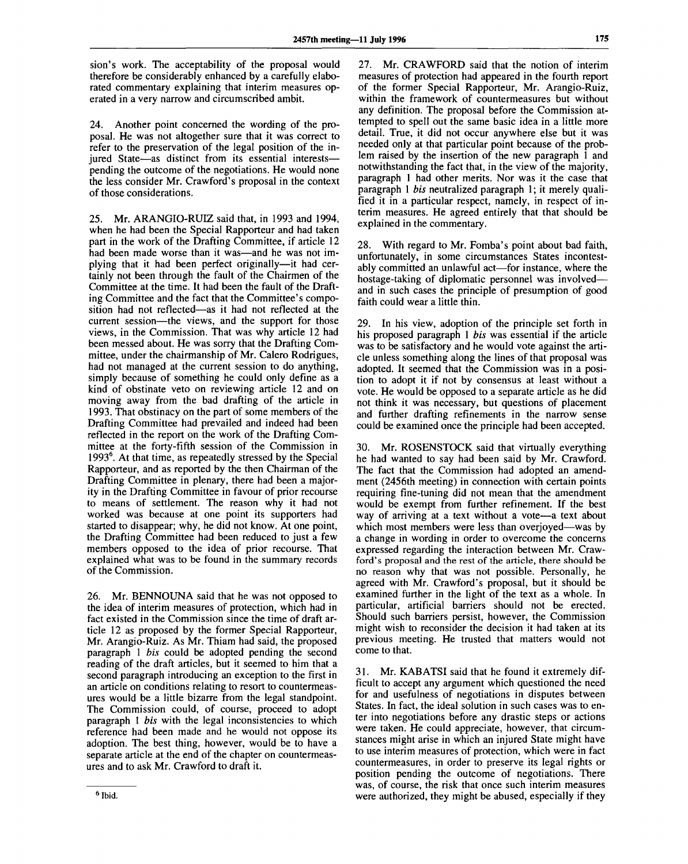sion's work. The acceptability of the proposal would therefore be considerably enhanced by a carefully elaborated commentary explaining that interim measures operated in a very narrow and circumscribed ambit.

24. Another point concerned the wording of the proposal. He was not altogether sure that it was correct to refer to the preservation of the legal position of the injured State—as distinct from its essential interests pending the outcome of the negotiations. He would none the less consider Mr. Crawford's proposal in the context of those considerations.

25. Mr. ARANGIO-RUIZ said that, in 1993 and 1994, when he had been the Special Rapporteur and had taken part in the work of the Drafting Committee, if article 12 had been made worse than it was—and he was not implying that it had been perfect originally—it had certainly not been through the fault of the Chairmen of the Committee at the time. It had been the fault of the Drafting Committee and the fact that the Committee's composition had not reflected—as it had not reflected at the current session—the views, and the support for those views, in the Commission. That was why article 12 had been messed about. He was sorry that the Drafting Committee, under the chairmanship of Mr. Calero Rodrigues, had not managed at the current session to do anything, simply because of something he could only define as a kind of obstinate veto on reviewing article 12 and on moving away from the bad drafting of the article in 1993. That obstinacy on the part of some members of the Drafting Committee had prevailed and indeed had been reflected in the report on the work of the Drafting Committee at the forty-fifth session of the Commission in  $1993<sup>6</sup>$  At that time, as repeatedly stressed by the Special Rapporteur, and as reported by the then Chairman of the Drafting Committee in plenary, there had been a majority in the Drafting Committee in favour of prior recourse to means of settlement. The reason why it had not worked was because at one point its supporters had started to disappear; why, he did not know. At one point, the Drafting Committee had been reduced to just a few members opposed to the idea of prior recourse. That  $m$ explained what was to be found in the summary records explained what was to be found in the summary records of the Commission.

26. Mr. BENNOUNA said that he was not opposed to the idea of interim measures of protection, which had in fact existed in the Commission since the time of draft article 12 as proposed by the former Special Rapporteur, Mr. Arangio-Ruiz. As Mr. Thiam had said, the proposed paragraph 1 *bis* could be adopted pending the second reading of the draft articles, but it seemed to him that a second paragraph introducing an exception to the first in an article on conditions relating to resort to countermeasures would be a little bizarre from the legal standpoint. The Commission could, of course, proceed to adopt paragraph 1 *bis* with the legal inconsistencies to which reference had been made and he would not oppose its adoption. The best thing, however, would be to have a separate article at the end of the chapter on countermeasures and to ask Mr. Crawford to draft it.

27. Mr. CRAWFORD said that the notion of interim measures of protection had appeared in the fourth report of the former Special Rapporteur, Mr. Arangio-Ruiz, within the framework of countermeasures but without any definition. The proposal before the Commission attempted to spell out the same basic idea in a little more detail. True, it did not occur anywhere else but it was needed only at that particular point because of the problem raised by the insertion of the new paragraph 1 and notwithstanding the fact that, in the view of the majority, paragraph 1 had other merits. Nor was it the case that paragraph 1 *bis* neutralized paragraph 1; it merely qualified it in a particular respect, namely, in respect of interim measures. He agreed entirely that that should be explained in the commentary.

28. With regard to Mr. Fomba's point about bad faith, unfortunately, in some circumstances States incontestably committed an unlawful act—for instance, where the hostage-taking of diplomatic personnel was involved and in such cases the principle of presumption of good faith could wear a little thin.

29. In his view, adoption of the principle set forth in his proposed paragraph 1 *bis* was essential if the article was to be satisfactory and he would vote against the article unless something along the lines of that proposal was adopted. It seemed that the Commission was in a position to adopt it if not by consensus at least without a vote. He would be opposed to a separate article as he did not think it was necessary, but questions of placement and further drafting refinements in the narrow sense could be examined once the principle had been accepted.

30. Mr. ROSENSTOCK said that virtually everything he had wanted to say had been said by Mr. Crawford. The fact that the Commission had adopted an amendment (2456th meeting) in connection with certain points requiring fine-tuning did not mean that the amendment would be exempt from further refinement. If the best way of arriving at a text without a vote—a text about which most members were less than overjoyed—was by a change in wording in order to overcome the concerns expressed regarding the interaction between Mr. Crawford's proposal and the rest of the article, there should be no reason why that was not possible. Personally, he agreed with Mr. Crawford's proposal, but it should be examined further in the light of the text as a whole. In particular, artificial barriers should not be erected. Should such barriers persist, however, the Commission might wish to reconsider the decision it had taken at its previous meeting. He trusted that matters would not come to that.

31. Mr. KABATSI said that he found it extremely difficult to accept any argument which questioned the need for and usefulness of negotiations in disputes between States. In fact, the ideal solution in such cases was to enter into negotiations before any drastic steps or actions were taken. He could appreciate, however, that circumstances might arise in which an injured State might have to use interim measures of protection, which were in fact countermeasures, in order to preserve its legal rights or position pending the outcome of negotiations. There was, of course, the risk that once such interim measures were authorized, they might be abused, especially if they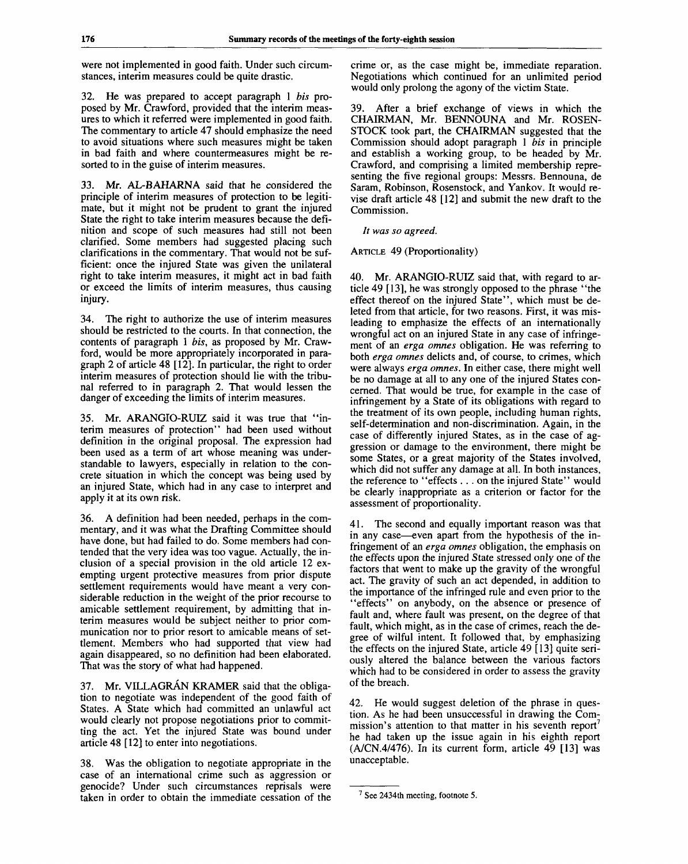were not implemented in good faith. Under such circumstances, interim measures could be quite drastic.

32. He was prepared to accept paragraph 1 *bis* proposed by Mr. Crawford, provided that the interim measures to which it referred were implemented in good faith. The commentary to article 47 should emphasize the need to avoid situations where such measures might be taken in bad faith and where countermeasures might be resorted to in the guise of interim measures.

33. Mr. AL-BAHARNA said that he considered the principle of interim measures of protection to be legitimate, but it might not be prudent to grant the injured State the right to take interim measures because the definition and scope of such measures had still not been clarified. Some members had suggested placing such clarifications in the commentary. That would not be sufficient: once the injured State was given the unilateral right to take interim measures, it might act in bad faith or exceed the limits of interim measures, thus causing injury.

34. The right to authorize the use of interim measures should be restricted to the courts. In that connection, the contents of paragraph 1 *bis,* as proposed by Mr. Crawford, would be more appropriately incorporated in paragraph 2 of article 48 [12]. In particular, the right to order interim measures of protection should lie with the tribunal referred to in paragraph 2. That would lessen the danger of exceeding the limits of interim measures.

35. Mr. ARANGIO-RUIZ said it was true that "interim measures of protection" had been used without definition in the original proposal. The expression had been used as a term of art whose meaning was understandable to lawyers, especially in relation to the concrete situation in which the concept was being used by an injured State, which had in any case to interpret and apply it at its own risk.

36. A definition had been needed, perhaps in the commentary, and it was what the Drafting Committee should have done, but had failed to do. Some members had contended that the very idea was too vague. Actually, the inclusion of a special provision in the old article 12 exempting urgent protective measures from prior dispute settlement requirements would have meant a very considerable reduction in the weight of the prior recourse to amicable settlement requirement, by admitting that interim measures would be subject neither to prior communication nor to prior resort to amicable means of settlement. Members who had supported that view had again disappeared, so no definition had been elaborated. That was the story of what had happened.

37. Mr. VILLAGRÁN KRAMER said that the obligation to negotiate was independent of the good faith of States. A State which had committed an unlawful act would clearly not propose negotiations prior to committing the act. Yet the injured State was bound under article 48 [12] to enter into negotiations.

38. Was the obligation to negotiate appropriate in the case of an international crime such as aggression or genocide? Under such circumstances reprisals were taken in order to obtain the immediate cessation of the crime or, as the case might be, immediate reparation. Negotiations which continued for an unlimited period would only prolong the agony of the victim State.

39. After a brief exchange of views in which the CHAIRMAN, Mr. BENNOUNA and Mr. ROSEN-STOCK took part, the CHAIRMAN suggested that the Commission should adopt paragraph 1 *bis* in principle and establish a working group, to be headed by Mr. Crawford, and comprising a limited membership representing the five regional groups: Messrs. Bennouna, de Saram, Robinson, Rosenstock, and Yankov. It would revise draft article 48 [12] and submit the new draft to the Commission.

*It was so agreed.*

#### ARTICLE 49 (Proportionality)

40. Mr. ARANGIO-RUIZ said that, with regard to article 49 [13], he was strongly opposed to the phrase "the effect thereof on the injured State", which must be deleted from that article, for two reasons. First, it was misleading to emphasize the effects of an internationally wrongful act on an injured State in any case of infringement of an *erga omnes* obligation. He was referring to both *erga omnes* delicts and, of course, to crimes, which were always *erga omnes.* In either case, there might well be no damage at all to any one of the injured States concerned. That would be true, for example in the case of infringement by a State of its obligations with regard to the treatment of its own people, including human rights, self-determination and non-discrimination. Again, in the case of differently injured States, as in the case of aggression or damage to the environment, there might be some States, or a great majority of the States involved, which did not suffer any damage at all. In both instances, the reference to "effects .. . on the injured State" would be clearly inappropriate as a criterion or factor for the assessment of proportionality.

41. The second and equally important reason was that in any case—even apart from the hypothesis of the infringement of an *erga omnes* obligation, the emphasis on the effects upon the injured State stressed only one of the factors that went to make up the gravity of the wrongful act. The gravity of such an act depended, in addition to the importance of the infringed rule and even prior to the "effects" on anybody, on the absence or presence of fault and, where fault was present, on the degree of that fault, which might, as in the case of crimes, reach the degree of wilful intent. It followed that, by emphasizing the effects on the injured State, article 49 [13] quite seriously altered the balance between the various factors which had to be considered in order to assess the gravity of the breach.

42. He would suggest deletion of the phrase in question. As he had been unsuccessful in drawing the Commission's attention to that matter in his seventh report<sup>7</sup> he had taken up the issue again in his eighth report (A/CN.4/476). In its current form, article 49 [13] was unacceptable.

 $7$  See 2434th meeting, footnote 5.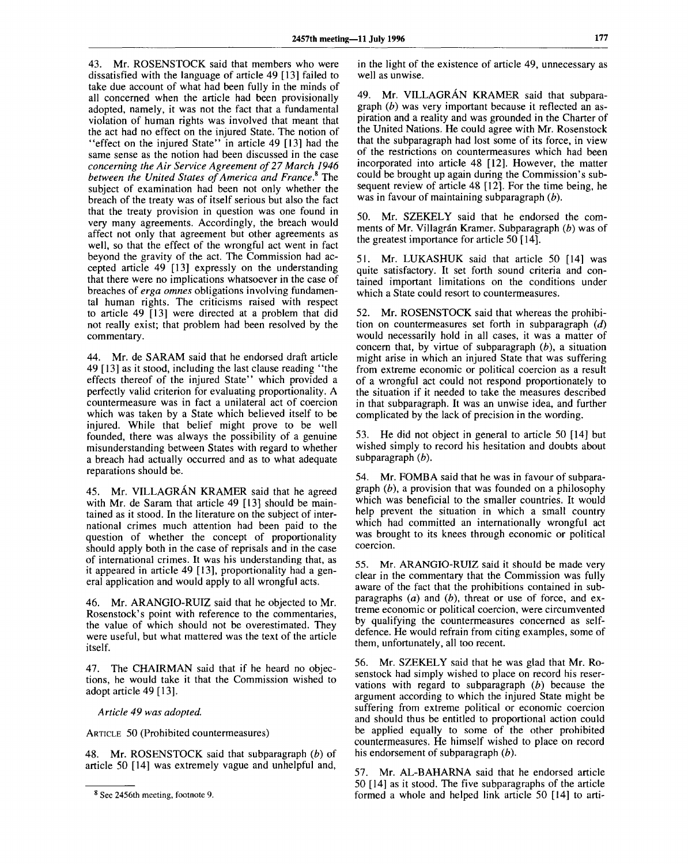43. Mr. ROSENSTOCK said that members who were dissatisfied with the language of article 49 [13] failed to take due account of what had been fully in the minds of all concerned when the article had been provisionally adopted, namely, it was not the fact that a fundamental violation of human rights was involved that meant that the act had no effect on the injured State. The notion of "effect on the injured State" in article 49 [13] had the same sense as the notion had been discussed in the case *concerning the Air Service Agreement of 27 March 1946 between the United States of America and France\** The subject of examination had been not only whether the breach of the treaty was of itself serious but also the fact that the treaty provision in question was one found in very many agreements. Accordingly, the breach would affect not only that agreement but other agreements as well, so that the effect of the wrongful act went in fact beyond the gravity of the act. The Commission had accepted article 49 [13] expressly on the understanding that there were no implications whatsoever in the case of breaches of *erga omnes* obligations involving fundamental human rights. The criticisms raised with respect to article 49 [13] were directed at a problem that did not really exist; that problem had been resolved by the commentary.

44. Mr. de SARAM said that he endorsed draft article 49 [13] as it stood, including the last clause reading "the effects thereof of the injured State" which provided a perfectly valid criterion for evaluating proportionality. A countermeasure was in fact a unilateral act of coercion which was taken by a State which believed itself to be injured. While that belief might prove to be well founded, there was always the possibility of a genuine misunderstanding between States with regard to whether a breach had actually occurred and as to what adequate reparations should be.

45. Mr. VILLAGRÁN KRAMER said that he agreed with Mr. de Saram that article 49 [13] should be maintained as it stood. In the literature on the subject of international crimes much attention had been paid to the question of whether the concept of proportionality should apply both in the case of reprisals and in the case of international crimes. It was his understanding that, as it appeared in article 49 [13], proportionality had a general application and would apply to all wrongful acts.

46. Mr. ARANGIO-RUIZ said that he objected to Mr. Rosenstock's point with reference to the commentaries, the value of which should not be overestimated. They were useful, but what mattered was the text of the article itself.

47. The CHAIRMAN said that if he heard no objections, he would take it that the Commission wished to adopt article 49 [13].

*Article 49 was adopted.*

ARTICLE 50 (Prohibited countermeasures)

48. Mr. ROSENSTOCK said that subparagraph *(b)* of article 50 [14] was extremely vague and unhelpful and, in the light of the existence of article 49, unnecessary as well as unwise.

49. Mr. VILLAGRAN KRAMER said that subparagraph *(b)* was very important because it reflected an aspiration and a reality and was grounded in the Charter of the United Nations. He could agree with Mr. Rosenstock that the subparagraph had lost some of its force, in view of the restrictions on countermeasures which had been incorporated into article 48 [12]. However, the matter could be brought up again during the Commission's subsequent review of article 48 [12]. For the time being, he was in favour of maintaining subparagraph *(b).*

50. Mr. SZEKELY said that he endorsed the comments of Mr. Villagrán Kramer. Subparagraph (b) was of the greatest importance for article 50 [14].

51. Mr. LUKASHUK said that article 50 [14] was quite satisfactory. It set forth sound criteria and contained important limitations on the conditions under which a State could resort to countermeasures.

52. Mr. ROSENSTOCK said that whereas the prohibition on countermeasures set forth in subparagraph *(d)* would necessarily hold in all cases, it was a matter of concern that, by virtue of subparagraph *(b),* a situation might arise in which an injured State that was suffering from extreme economic or political coercion as a result of a wrongful act could not respond proportionately to the situation if it needed to take the measures described in that subparagraph. It was an unwise idea, and further complicated by the lack of precision in the wording.

53. He did not object in general to article 50 [14] but wished simply to record his hesitation and doubts about subparagraph *(b).*

54. Mr. FOMBA said that he was in favour of subparagraph *(b),* a provision that was founded on a philosophy which was beneficial to the smaller countries. It would help prevent the situation in which a small country which had committed an internationally wrongful act was brought to its knees through economic or political coercion.

55. Mr. ARANGIO-RUIZ said it should be made very clear in the commentary that the Commission was fully aware of the fact that the prohibitions contained in subparagraphs *(a)* and *(b),* threat or use of force, and extreme economic or political coercion, were circumvented by qualifying the countermeasures concerned as selfdefence. He would refrain from citing examples, some of them, unfortunately, all too recent.

56. Mr. SZEKELY said that he was glad that Mr. Rosenstock had simply wished to place on record his reservations with regard to subparagraph *(b)* because the argument according to which the injured State might be suffering from extreme political or economic coercion and should thus be entitled to proportional action could be applied equally to some of the other prohibited countermeasures. He himself wished to place on record his endorsement of subparagraph *(b).*

57. Mr. AL-BAHARNA said that he endorsed article 50 [14] as it stood. The five subparagraphs of the article formed a whole and helped link article 50 [14] to arti-

<sup>&</sup>lt;sup>8</sup> See 2456th meeting, footnote 9.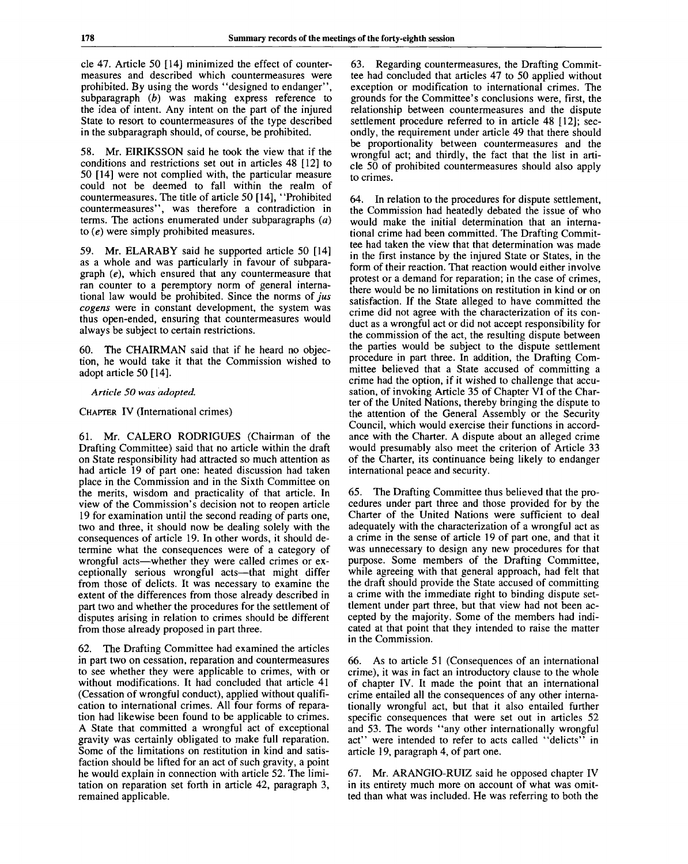cle 47. Article 50 [14] minimized the effect of countermeasures and described which countermeasures were prohibited. By using the words "designed to endanger", subparagraph *(b)* was making express reference to the idea of intent. Any intent on the part of the injured State to resort to countermeasures of the type described in the subparagraph should, of course, be prohibited.

58. Mr. EIRIKSSON said he took the view that if the conditions and restrictions set out in articles 48 [12] to 50 [14] were not complied with, the particular measure could not be deemed to fall within the realm of countermeasures. The title of article 50 [14], "Prohibited countermeasures", was therefore a contradiction in terms. The actions enumerated under subparagraphs *(a)* to *(e)* were simply prohibited measures.

59. Mr. ELARABY said he supported article 50 [14] as a whole and was particularly in favour of subparagraph *(e),* which ensured that any countermeasure that ran counter to a peremptory norm of general international law would be prohibited. Since the norms of *jus cogens* were in constant development, the system was thus open-ended, ensuring that countermeasures would always be subject to certain restrictions.

60. The CHAIRMAN said that if he heard no objection, he would take it that the Commission wished to adopt article 50 [14].

#### *Article 50 was adopted.*

CHAPTER IV (International crimes)

61. Mr. CALERO RODRIGUES (Chairman of the Drafting Committee) said that no article within the draft on State responsibility had attracted so much attention as had article 19 of part one: heated discussion had taken place in the Commission and in the Sixth Committee on the merits, wisdom and practicality of that article. In view of the Commission's decision not to reopen article 19 for examination until the second reading of parts one, two and three, it should now be dealing solely with the consequences of article 19. In other words, it should determine what the consequences were of a category of wrongful acts—whether they were called crimes or exceptionally serious wrongful acts—that might differ from those of delicts. It was necessary to examine the extent of the differences from those already described in part two and whether the procedures for the settlement of disputes arising in relation to crimes should be different from those already proposed in part three.

62. The Drafting Committee had examined the articles in part two on cessation, reparation and countermeasures to see whether they were applicable to crimes, with or without modifications. It had concluded that article 41 (Cessation of wrongful conduct), applied without qualification to international crimes. All four forms of reparation had likewise been found to be applicable to crimes. A State that committed a wrongful act of exceptional gravity was certainly obligated to make full reparation. Some of the limitations on restitution in kind and satisfaction should be lifted for an act of such gravity, a point he would explain in connection with article 52. The limitation on reparation set forth in article 42, paragraph 3, remained applicable.

63. Regarding countermeasures, the Drafting Committee had concluded that articles 47 to 50 applied without exception or modification to international crimes. The grounds for the Committee's conclusions were, first, the relationship between countermeasures and the dispute settlement procedure referred to in article 48 [12]; secondly, the requirement under article 49 that there should be proportionality between countermeasures and the wrongful act; and thirdly, the fact that the list in article 50 of prohibited countermeasures should also apply to crimes.

64. In relation to the procedures for dispute settlement, the Commission had heatedly debated the issue of who would make the initial determination that an international crime had been committed. The Drafting Committee had taken the view that that determination was made in the first instance by the injured State or States, in the form of their reaction. That reaction would either involve protest or a demand for reparation; in the case of crimes, there would be no limitations on restitution in kind or on satisfaction. If the State alleged to have committed the crime did not agree with the characterization of its conduct as a wrongful act or did not accept responsibility for the commission of the act, the resulting dispute between the parties would be subject to the dispute settlement procedure in part three. In addition, the Drafting Committee believed that a State accused of committing a crime had the option, if it wished to challenge that accusation, of invoking Article 35 of Chapter VI of the Charter of the United Nations, thereby bringing the dispute to the attention of the General Assembly or the Security Council, which would exercise their functions in accordance with the Charter. A dispute about an alleged crime would presumably also meet the criterion of Article 33 of the Charter, its continuance being likely to endanger international peace and security.

65. The Drafting Committee thus believed that the procedures under part three and those provided for by the Charter of the United Nations were sufficient to deal adequately with the characterization of a wrongful act as a crime in the sense of article 19 of part one, and that it was unnecessary to design any new procedures for that purpose. Some members of the Drafting Committee, while agreeing with that general approach, had felt that the draft should provide the State accused of committing a crime with the immediate right to binding dispute settlement under part three, but that view had not been accepted by the majority. Some of the members had indicated at that point that they intended to raise the matter in the Commission.

66. As to article 51 (Consequences of an international crime), it was in fact an introductory clause to the whole of chapter IV. It made the point that an international crime entailed all the consequences of any other internationally wrongful act, but that it also entailed further specific consequences that were set out in articles 52 and 53. The words "any other internationally wrongful act" were intended to refer to acts called "delicts" in article 19, paragraph 4, of part one.

67. Mr. ARANGIO-RUIZ said he opposed chapter IV in its entirety much more on account of what was omitted than what was included. He was referring to both the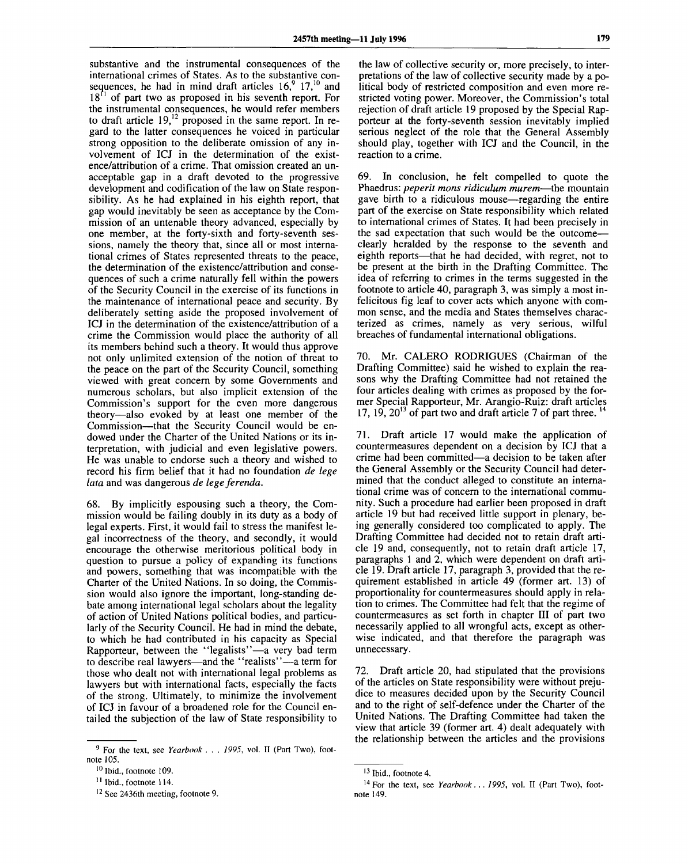substantive and the instrumental consequences of the international crimes of States. As to the substantive consequences, he had in mind draft articles  $16<sup>9</sup>$ ,  $17<sup>10</sup>$  and  $18<sup>f1</sup>$  of part two as proposed in his seventh report. For the instrumental consequences, he would refer members to draft article  $19<sup>12</sup>$  proposed in the same report. In regard to the latter consequences he voiced in particular strong opposition to the deliberate omission of any involvement of ICJ in the determination of the existence/attribution of a crime. That omission created an unacceptable gap in a draft devoted to the progressive development and codification of the law on State responsibility. As he had explained in his eighth report, that gap would inevitably be seen as acceptance by the Commission of an untenable theory advanced, especially by one member, at the forty-sixth and forty-seventh sessions, namely the theory that, since all or most international crimes of States represented threats to the peace, the determination of the existence/attribution and consequences of such a crime naturally fell within the powers of the Security Council in the exercise of its functions in the maintenance of international peace and security. By deliberately setting aside the proposed involvement of ICJ in the determination of the existence/attribution of a crime the Commission would place the authority of all its members behind such a theory. It would thus approve not only unlimited extension of the notion of threat to the peace on the part of the Security Council, something viewed with great concern by some Governments and numerous scholars, but also implicit extension of the Commission's support for the even more dangerous theory—also evoked by at least one member of the Commission—that the Security Council would be endowed under the Charter of the United Nations or its interpretation, with judicial and even legislative powers. He was unable to endorse such a theory and wished to record his firm belief that it had no foundation *de lege lata* and was dangerous *de lege ferenda.*

68. By implicitly espousing such a theory, the Commission would be failing doubly in its duty as a body of legal experts. First, it would fail to stress the manifest legal incorrectness of the theory, and secondly, it would encourage the otherwise meritorious political body in question to pursue a policy of expanding its functions and powers, something that was incompatible with the Charter of the United Nations. In so doing, the Commission would also ignore the important, long-standing debate among international legal scholars about the legality of action of United Nations political bodies, and particularly of the Security Council. He had in mind the debate, to which he had contributed in his capacity as Special Rapporteur, between the "legalists"—a very bad term to describe real lawyers—and the "realists"—a term for those who dealt not with international legal problems as lawyers but with international facts, especially the facts of the strong. Ultimately, to minimize the involvement of ICJ in favour of a broadened role for the Council entailed the subjection of the law of State responsibility to

the law of collective security or, more precisely, to interpretations of the law of collective security made by a political body of restricted composition and even more restricted voting power. Moreover, the Commission's total rejection of draft article 19 proposed by the Special Rapporteur at the forty-seventh session inevitably implied serious neglect of the role that the General Assembly should play, together with ICJ and the Council, in the reaction to a crime.

69. In conclusion, he felt compelled to quote the Phaedrus: *peperit mons ridiculum murem*—the mountain gave birth to a ridiculous mouse—regarding the entire part of the exercise on State responsibility which related to international crimes of States. It had been precisely in the sad expectation that such would be the outcome clearly heralded by the response to the seventh and eighth reports—that he had decided, with regret, not to be present at the birth in the Drafting Committee. The idea of referring to crimes in the terms suggested in the footnote to article 40, paragraph 3, was simply a most infelicitous fig leaf to cover acts which anyone with common sense, and the media and States themselves characterized as crimes, namely as very serious, wilful breaches of fundamental international obligations.

70. Mr. CALERO RODRIGUES (Chairman of the Drafting Committee) said he wished to explain the reasons why the Drafting Committee had not retained the four articles dealing with crimes as proposed by the former Special Rapporteur, Mr. Arangio-Ruiz: draft articles 17,  $19$ ,  $20^{13}$  of part two and draft article 7 of part three.

71. Draft article 17 would make the application of countermeasures dependent on a decision by ICJ that a crime had been committed—a decision to be taken after the General Assembly or the Security Council had determined that the conduct alleged to constitute an international crime was of concern to the international community. Such a procedure had earlier been proposed in draft article 19 but had received little support in plenary, being generally considered too complicated to apply. The Drafting Committee had decided not to retain draft article 19 and, consequently, not to retain draft article 17, paragraphs 1 and 2, which were dependent on draft article 19. Draft article 17, paragraph 3, provided that the requirement established in article 49 (former art. 13) of proportionality for countermeasures should apply in relation to crimes. The Committee had felt that the regime of countermeasures as set forth in chapter III of part two necessarily applied to all wrongful acts, except as otherwise indicated, and that therefore the paragraph was unnecessary.

72. Draft article 20, had stipulated that the provisions of the articles on State responsibility were without prejudice to measures decided upon by the Security Council and to the right of self-defence under the Charter of the United Nations. The Drafting Committee had taken the view that article 39 (former art. 4) dealt adequately with the relationship between the articles and the provisions

<sup>9</sup> For the text, see *Yearbook . . . 1995,* vol. II (Part Two), footnote 105.

<sup>&</sup>lt;sup>10</sup> Ibid., footnote 109.

<sup>&</sup>lt;sup>11</sup> Ibid., footnote 114.

<sup>&</sup>lt;sup>12</sup> See 2436th meeting, footnote 9.

<sup>&</sup>lt;sup>13</sup> Ibid., footnote 4.

<sup>14</sup> For the text, see *Yearbook. . . 1995,* vol. II (Part Two), footnote 149.